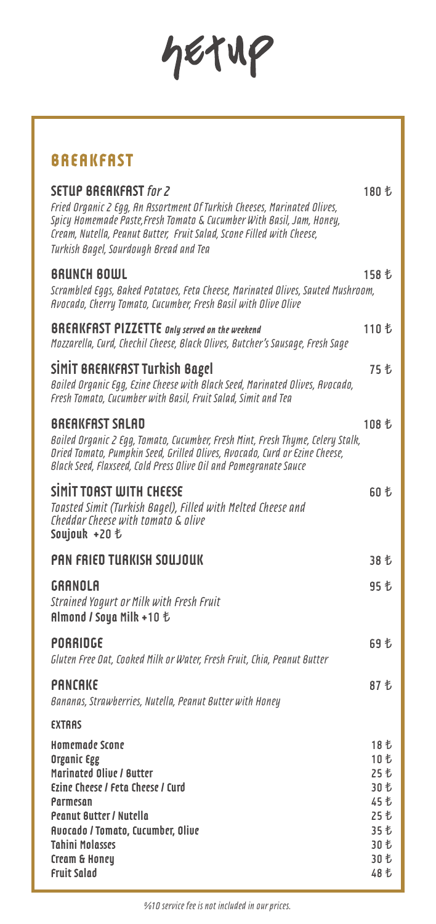$46719$ 

## **BREAKFAST**

| <b>SETUP BREAKFAST for 2</b><br>Fried Organic 2 Egg, An Assortment Of Turkish Cheeses, Marinated Olives,<br>Spicy Homemade Paste, Fresh Tomato & Cucumber With Basil, Jam, Honey,<br>Cream, Nutella, Peanut Butter, Fruit Salad, Scone Filled with Cheese,<br>Turkish Bagel, Sourdough Bread and Tea | 180 も                                                                |
|------------------------------------------------------------------------------------------------------------------------------------------------------------------------------------------------------------------------------------------------------------------------------------------------------|----------------------------------------------------------------------|
| <b>BRUNCH BOWL</b><br>Scrambled Eqgs, Baked Potatoes, Feta Cheese, Marinated Olives, Sauted Mushroom,<br>Avocado, Cherry Tomato, Cucumber, Fresh Basil with Olive Olive                                                                                                                              | 158 も                                                                |
| <b>BREAKFAST PIZZETTE</b> anly served on the weekend<br>Mozzarella, Curd, Chechil Cheese, Black Olives, Butcher's Sausage, Fresh Sage                                                                                                                                                                | 110 も                                                                |
| <b>SIMIT BREAKFAST Turkish Bagel</b><br>Boiled Organic Eqq, Ezine Cheese with Black Seed, Marinated Olives, Avocado,<br>Fresh Tomato, Cucumber with Basil, Fruit Salad, Simit and Tea                                                                                                                | 75 乜                                                                 |
| <b>BREAKFAST SALAD</b><br>Boiled Organic 2 Eqq, Tomato, Cucumber, Fresh Mint, Fresh Thyme, Celery Stalk,<br>Dried Tomato, Pumpkin Seed, Grilled Olives, Avocado, Curd or Ezine Cheese,<br>Black Seed, Flaxseed, Cold Press Olive Oil and Pomegranate Sauce                                           | 108 も                                                                |
| SİMİT TOAST WITH CHEESE<br>Toasted Simit (Turkish Baqel), Filled with Melted Cheese and<br>Cheddar Cheese with tomato & olive<br>Soujouk +20 も                                                                                                                                                       | 60 も                                                                 |
| PAN FRIED TURKISH SOUJOUK                                                                                                                                                                                                                                                                            | 38 乜                                                                 |
| GRANOLA<br><b>Strained Yogurt or Milk with Fresh Fruit</b><br><b>Almond / Soya Milk +10 も</b>                                                                                                                                                                                                        | 95 乜                                                                 |
| PORRIDGE<br>Gluten Free Dat, Cooked Milk or Water, Fresh Fruit, Chia, Peanut Butter                                                                                                                                                                                                                  | 69 も                                                                 |
| <b>PANCAKE</b><br>Bananas, Strawberries, Nutella, Peanut Butter with Honey                                                                                                                                                                                                                           | 87 书                                                                 |
| <b>EXTRAS</b>                                                                                                                                                                                                                                                                                        |                                                                      |
| <b>Homemade Scone</b><br>Organic Egg<br>Marinated Olive / Butter<br>Ezine Cheese / Feta Cheese / Curd<br>Parmesan<br><b>Peanut Butter / Nutella</b><br>Avocado / Tomato, Cucumber, Olive<br><b>Tahini Molasses</b><br>Cream & Honey                                                                  | 18 も<br>10 も<br>25 老<br>30 乜<br>45 も<br>25 七<br>35 七<br>30 乜<br>30 乜 |
| <b>Fruit Salad</b>                                                                                                                                                                                                                                                                                   | 48 七                                                                 |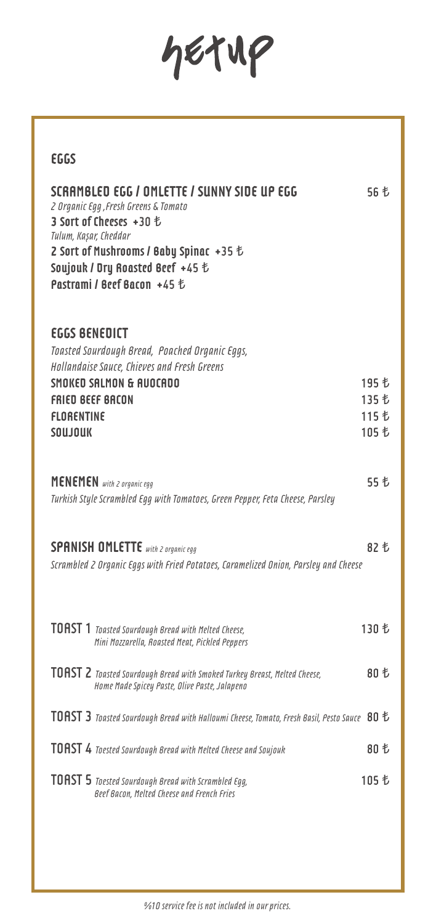# hetup

| <b>EGGS</b>                                                                                                                                                                                                                                                  |                |
|--------------------------------------------------------------------------------------------------------------------------------------------------------------------------------------------------------------------------------------------------------------|----------------|
| SCRAMBLED EGG / OMLETTE / SUNNY SIDE UP EGG<br>2 Organic Egg, Fresh Greens & Tomato<br>3 Sort of Cheeses +30 も<br>Tulum, Kaşar, Cheddar<br>2 Sort of Mushrooms / Baby Spinac +35 $\sharp$<br>Soujouk / Dry Roasted Beef +45 も<br>Pastrami / Beef Bacon +45 も | 56 も           |
| <b>EGGS BENEDICT</b><br>Toasted Sourdough Bread, Poached Organic Eggs,<br>Hollandaise Sauce, Chieves and Fresh Greens                                                                                                                                        |                |
| SMOKED SALMON & AUOCADO<br><b>FRIED BEEF BACON</b>                                                                                                                                                                                                           | 195 も<br>135 も |
| FLORENTINE                                                                                                                                                                                                                                                   | 115 も          |
| <b>SOUJOUK</b>                                                                                                                                                                                                                                               | 105 も          |
| <b>MENEMEN</b> with 2 organic egg<br>Turkish Style Scrambled Eqq with Tomatoes, Green Pepper, Feta Cheese, Parsley                                                                                                                                           | 55 も           |
| <b>SPANISH OMLETTE</b> with 2 organic egg                                                                                                                                                                                                                    | 82 も           |
| Scrambled 2 Organic Eggs with Fried Potatoes, Caramelized Onion, Parsley and Cheese                                                                                                                                                                          |                |
| <b>TOAST</b> $1$ Toasted Sourdough Bread with Melted Cheese,<br>Mini Mozzarella, Roasted Meat, Pickled Peppers                                                                                                                                               | 130 も          |
| <b>TOAST 2</b> Toasted Sourdough Bread with Smoked Turkey Breast, Melted Cheese,<br>Home Made Spicey Paste, Olive Paste, Jalapeno                                                                                                                            | 80 も           |
| TOAST 3 Toasted Sourdough Bread with Halloumi Cheese, Tomato, Fresh Basil, Pesto Sauce 80 $t$                                                                                                                                                                |                |
| <b>TOAST 4</b> Toested Sourdough Bread with Melted Cheese and Soujouk                                                                                                                                                                                        | 80 も           |
| <b>TOAST 5</b> Toested Sourdough Bread with Scrambled Egg,<br>Beef Bacon, Melted Cheese and French Fries                                                                                                                                                     | 105 も          |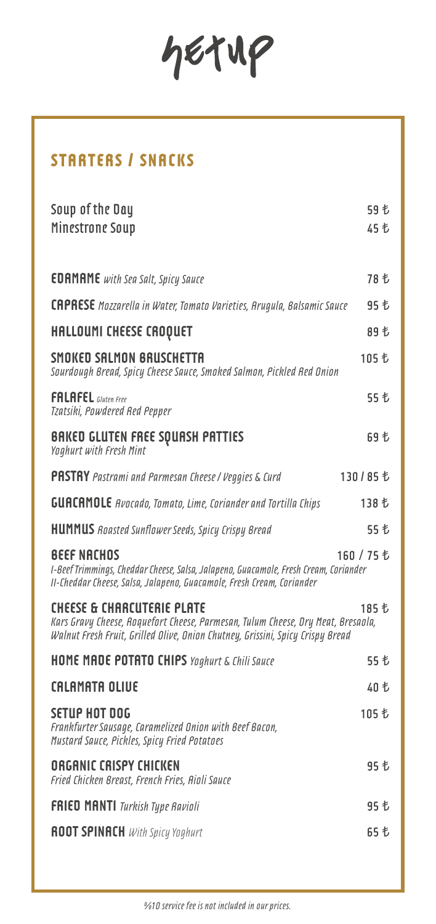hetup

# **STARTERS / SNACKS**

| Soup of the Day<br>Minestrone Soup                                                                                                                                                                          | 59 乜<br>45 も |
|-------------------------------------------------------------------------------------------------------------------------------------------------------------------------------------------------------------|--------------|
| <b>EDAMAME</b> with Sea Salt, Spicy Sauce                                                                                                                                                                   | 78 も         |
| <b>CAPRESE</b> Mozzarella in Water, Tomato Varieties, Arugula, Balsamic Sauce                                                                                                                               | 95 乜         |
| <b>HALLOUMI CHEESE CROQUET</b>                                                                                                                                                                              | 89 乜         |
| SMOKED SALMON BRUSCHETTA<br>Sourdough Bread, Spicy Cheese Sauce, Smoked Salmon, Pickled Red Onion                                                                                                           | 105 も        |
| <b>FALAFEL</b> Gluten Free<br>Tzatsiki, Powdered Red Pepper                                                                                                                                                 | 55 七         |
| BAKED GLUTEN FREE SQUASH PATTIES<br>Yoghurt with Fresh Mint                                                                                                                                                 | 69 も         |
| <b>PASTRY</b> Pastrami and Parmesan Cheese / Veggies & Curd                                                                                                                                                 | 130/85も      |
| <b>GUACAMOLE</b> Avocado, Tomato, Lime, Coriander and Tortilla Chips                                                                                                                                        | 138 も        |
| <b>HUMMUS</b> Roasted Sunflower Seeds, Spicy Crispy Bread                                                                                                                                                   | 55 も         |
| <b>BEEF NACHOS</b><br>I-Beef Trimmings, Cheddar Cheese, Salsa, Jalapeno, Guacamole, Fresh Cream, Coriander<br>II-Cheddar Cheese, Salsa, Jalapeno, Guacamole, Fresh Cream, Coriander                         | 160 / 75 も   |
| <b>CHEESE &amp; CHARCUTERIE PLATE</b><br>Kars Gravy Cheese, Roquefort Cheese, Parmesan, Tulum Cheese, Dry Meat, Bresaola,<br>Walnut Fresh Fruit, Grilled Olive, Onion Chutney, Grissini, Spicy Crispy Bread | 185 も        |
| <b>HOME MADE POTATO CHIPS</b> Yoghurt & Chili Sauce                                                                                                                                                         | 55 も         |
| <b>CALAMATA OLIVE</b>                                                                                                                                                                                       | 40 も         |
| SETUP HOT DOG<br>Frankfurter Sausage, Caramelized Onion with Beef Bacon,<br>Mustard Sauce, Pickles, Spicy Fried Potatoes                                                                                    |              |
| <b>ORGANIC CRISPY CHICKEN</b><br>Fried Chicken Breast, French Fries, Aioli Sauce                                                                                                                            | 95 乜         |
| <b>FRIED MANTI</b> Turkish Type Ravioli                                                                                                                                                                     |              |
| <b>ROOT SPINACH</b> With Spicy Yoghurt                                                                                                                                                                      | 65 乜         |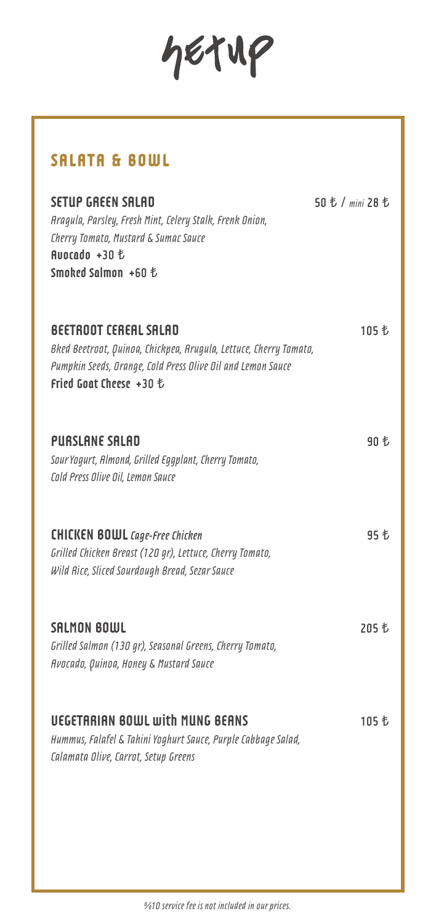hetup

## **SALATA & BOWL**

| SETUP GREEN SALAD<br>Aragula, Parsley, Fresh Mint, Celery Stalk, Frenk Onion,<br>Cherry Tomato, Mustard & Sumac Sauce<br>Ruocado +30 も<br>Smoked Salmon +60 も                               | 50 も / mini 28 も |
|---------------------------------------------------------------------------------------------------------------------------------------------------------------------------------------------|------------------|
| <b>BEETROOT CEREAL SALAD</b><br>Bked Beetroot, Quinoa, Chickpea, Arugula, Lettuce, Cherry Tomato,<br>Pumpkin Seeds, Orange, Cold Press Olive Oil and Lemon Sauce<br>Fried Goat Cheese +30 も | 105 も            |
| <b>PURSLANE SALAD</b><br>Sour Yogurt, Almond, Grilled Eggplant, Cherry Tomato,<br>Cold Press Olive Oil, Lemon Sauce                                                                         | 90 も             |
| <b>CHICKEN BOWL</b> Cage-Free Chicken<br>Grilled Chicken Breast (120 gr), Lettuce, Cherry Tomato,<br>Wild Rice, Sliced Sourdough Bread, Sezar Sauce                                         | 95 も             |
| SALMON BOWL<br>Grilled Salmon (130 gr), Seasonal Greens, Cherry Tomato,<br>Avocado, Quinoa, Honey & Mustard Sauce                                                                           | 205 も            |
| <b>UEGETARIAN BOWL with MUNG BEANS</b><br>Hummus, Falafel & Tahini Yoghurt Sauce, Purple Cabbage Salad,<br>Calamata Olive, Carrot, Setup Greens                                             | 105 も            |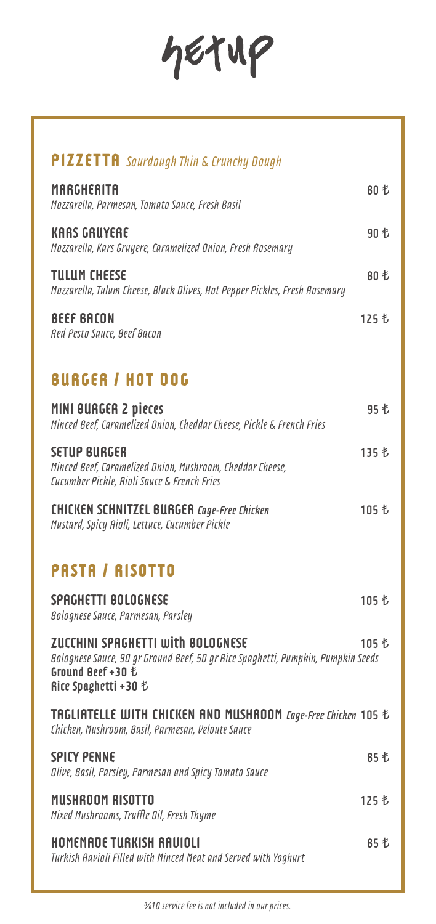# hetup

| <b>PIZZETTA</b> Sourdough Thin & Crunchy Dough                                                                                                                            |       |
|---------------------------------------------------------------------------------------------------------------------------------------------------------------------------|-------|
| <b>MARGHERITA</b><br>Mozzarella, Parmesan, Tomato Sauce, Fresh Basil                                                                                                      | 80 も  |
| <b>KARS GRUYERE</b><br>Mozzarella, Kars Gruyere, Caramelized Onion, Fresh Rosemary                                                                                        | 90 も  |
| <b>TULUM CHEESE</b><br>Mozzarella, Tulum Cheese, Black Olives, Hot Pepper Pickles, Fresh Rosemary                                                                         | 80 も  |
| <b>BEEF BACON</b><br>Red Pesto Sauce, Beef Bacon                                                                                                                          | 125 も |
| <b>BURGER / HOT DOG</b>                                                                                                                                                   |       |
| MINI BURGER 2 pieces<br>Minced Beef, Caramelized Onion, Cheddar Cheese, Pickle & French Fries                                                                             | 95 乜  |
| <b>SETUP BURGER</b><br>Minced Beef, Caramelized Onion, Mushroom, Cheddar Cheese,<br>Cucumber Pickle, Aioli Sauce & French Fries                                           | 135 も |
| <b>CHICKEN SCHNITZEL BURGER</b> Cage-Free Chicken<br>Mustard, Spicy Aioli, Lettuce, Cucumber Pickle                                                                       | 105 も |
| <b>PASTA / RISOTTO</b>                                                                                                                                                    |       |
| SPAGHETTI BOLOGNESE<br>Bolognese Sauce, Parmesan, Parsley                                                                                                                 | 105 も |
| <b>ZUCCHINI SPAGHETTI with BOLOGNESE</b><br>Bolognese Sauce, 90 gr Ground Beef, 50 gr Rice Spaghetti, Pumpkin, Pumpkin Seeds<br>Ground Beef +30 も<br>Rice Spaghetti +30 も | 105 も |
| <b>TAGLIATELLE WITH CHICKEN AND MUSHROOM Cage-Free Chicken 105 &amp;</b><br>Chicken, Mushroom, Basil, Parmesan, Veloute Sauce                                             |       |
| <b>SPICY PENNE</b><br>Olive, Basil, Parsley, Parmesan and Spicy Tomato Sauce                                                                                              | 85 乜  |
| <b>MUSHROOM RISOTTO</b><br>Mixed Mushrooms, Truffle Oil, Fresh Thyme                                                                                                      | 125 も |
| HOMEMADE TURKISH RAVIOLI<br>Turkish Ravioli Filled with Minced Meat and Served with Yoghurt                                                                               | 85 乜  |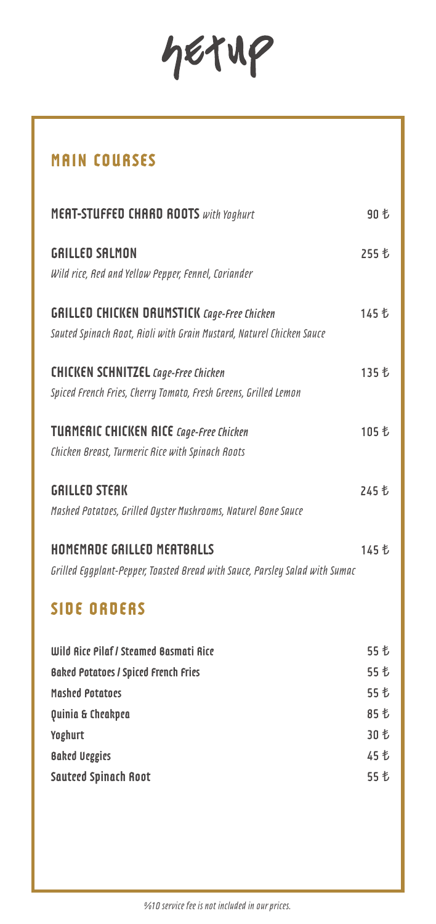hetup

# **MAIN COURSES**

| <b>MERT-STUFFED CHARD ROOTS</b> with Yoghurt                                | 90 も  |
|-----------------------------------------------------------------------------|-------|
| <b>GRILLED SALMON</b>                                                       | 255 も |
| Wild rice, Red and Yellow Pepper, Fennel, Coriander                         |       |
| <b>GRILLED CHICKEN DRUMSTICK Cage-Free Chicken</b>                          | 145 も |
| Sauted Spinach Root, Rioli with Grain Mustard, Naturel Chicken Sauce        |       |
| <b>CHICKEN SCHNITZEL</b> Cage-Free Chicken                                  | 135 も |
| Spiced French Fries, Cherry Tomato, Fresh Greens, Grilled Lemon             |       |
| <b>TURMERIC CHICKEN RICE Cage-Free Chicken</b>                              | 105 も |
| Chicken Breast, Turmeric Rice with Spinach Roots                            |       |
| <b>GRILLED STEAK</b>                                                        | 245 も |
| Mashed Potatoes, Grilled Oyster Mushrooms, Naturel Bone Sauce               |       |
| HOMEMADE GRILLED MEATBALLS                                                  | 145 も |
| Grilled Eggplant-Pepper, Toasted Bread with Sauce, Parsley Salad with Sumac |       |
| <b>SIDE ORDERS</b>                                                          |       |
| Wild Rice Pilaf / Steamed Basmati Rice                                      | 55 も  |
| <b>Baked Potatoes / Spiced French Fries</b>                                 | 55 も  |
| Mashed Potatoes                                                             | 55 も  |
| Quinia & Cheakpea                                                           | 85 も  |
| Yoghurt                                                                     | 30 も  |
| <b>Baked Ueggies</b>                                                        | 45 も  |
| <b>Sauteed Spinach Root</b>                                                 | 55 も  |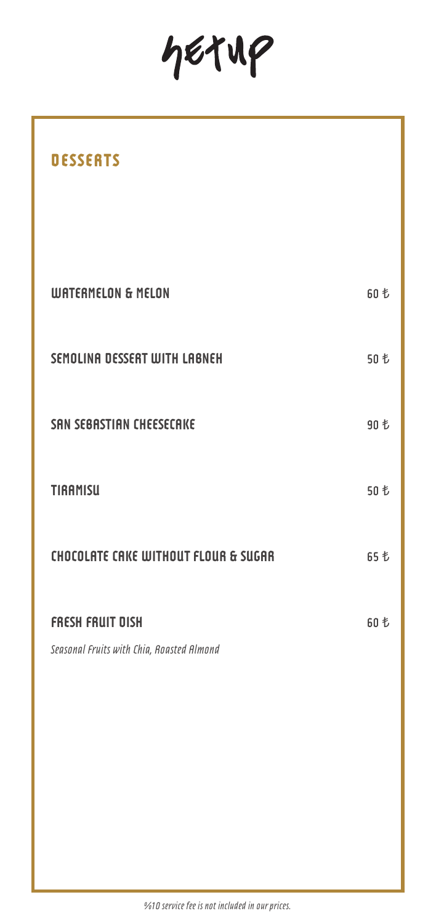hetup

| <b>DESSERTS</b>                                                      |      |
|----------------------------------------------------------------------|------|
|                                                                      |      |
| <b>WATERMELON &amp; MELON</b>                                        | 60 も |
| SEMOLINA DESSERT WITH LABNEH                                         | 50 も |
| SAN SEBASTIAN CHEESECAKE                                             | 90 も |
| <b>TIRAMISU</b>                                                      | 50 も |
| CHOCOLATE CAKE WITHOUT FLOUR & SUGAR                                 | 65 も |
| <b>FRESH FRUIT DISH</b><br>Seasonal Fruits with Chia, Roasted Almond | 60 も |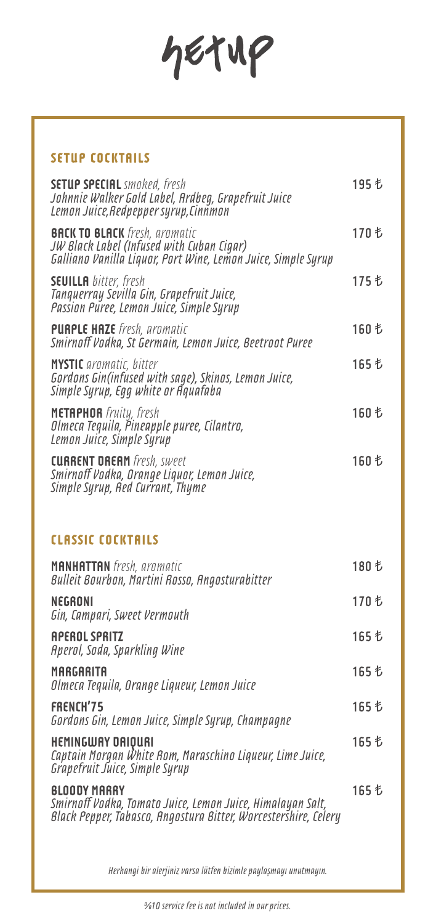hetup

#### **SETUP COCKTAILS**

| <b>SETUP SPECIAL</b> smoked, fresh<br>Johnnie Walker Gold Label, Ardbeg, Grapefruit Juice<br>Lemon Juice, Redpepper syrup, Cinnmon                   |       |
|------------------------------------------------------------------------------------------------------------------------------------------------------|-------|
| <b>BACK TO BLACK</b> fresh, aromatic<br>JW Black Label (Infused with Cuban Cigar)<br>Galliano Vanilla Liquor, Port Wine, Lemon Juice, Simple Syrup   | 170 も |
| <b>SEUILLA</b> bitter, fresh<br>Tanquerray Sevilla Gin, Grapefruit Juice,<br>Passion Puree, Lemon Juice, Simple Syrup                                | 175 も |
| <b>PURPLE HAZE</b> fresh, aromatic<br>Smirnoff Vodka, St Germain, Lemon Juice, Beetroot Puree                                                        | 160 も |
| <b>MYSTIC</b> aromatic, bitter<br>Gordons Gin(infused with sage), Skinos, Lemon Juice,<br>Simple Syrup, Egg white or Aquafaba                        | 165 も |
| METAPHOR fruity, fresh<br>Olmeca Tequila, Pineapple puree, Cilantro,<br>Lemon Juice, Simple Syrup                                                    | 160 も |
| <b>CURRENT DREAM</b> fresh, sweet<br>Smirnoff Vodka, Orange Liquor, Lemon Juice,<br>Simple Syrup, Red Currant, Thyme                                 | 160 も |
|                                                                                                                                                      |       |
| <b>CLASSIC COCKTAILS</b>                                                                                                                             |       |
| <b>MANHATTAN</b> fresh, aromatic<br>Bulleit Bourbon, Martini Rosso, Angosturabitter                                                                  | 180 も |
| NEGRONI<br>Gin, Campari, Sweet Vermouth                                                                                                              | 170 も |
| <b>APEROL SPRITZ</b><br>Aperol, Soda, Sparkling Wine                                                                                                 | 165 も |
| <b>MARGARITA</b><br>Olmeca Tequila, Orange Liqueur, Lemon Juice                                                                                      | 165 も |
| FRENCH'75<br>Gordons Gin, Lemon Juice, Simple Syrup, Champagne                                                                                       | 165 も |
| <b>HEMINGWAY DAIQUAI</b><br>Captain Morgan White Rom, Maraschino Liqueur, Lime Juice,<br>Grapefruit Juice, Simple Syrup                              | 165 も |
| <b>BLOODY MARRY</b><br>Smirnoff Vodka, Tomato Juice, Lemon Juice, Himalayan Salt,<br>Black Pepper, Tabasco, Angostura Bitter, Worcestershire, Celery | 165 も |

*Herhangi bir alerjiniz varsa lütfen bizimle paylaşmayı unutmayın.*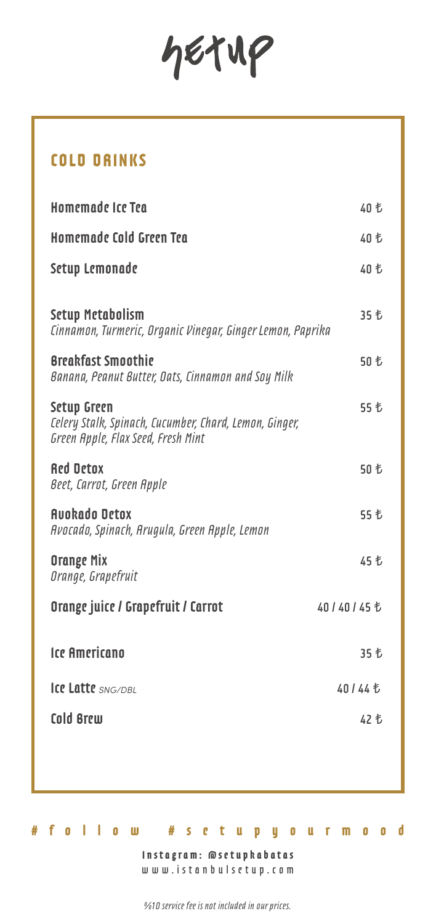hetup

## **COLD DRINKS**

| Homemade Ice Tea                                                                                                   | 40 も           |
|--------------------------------------------------------------------------------------------------------------------|----------------|
| Homemade Cold Green Tea                                                                                            | 40 も           |
| Setup Lemonade                                                                                                     | 40 も           |
| <b>Setup Metabolism</b><br>Cinnamon, Turmeric, Organic Vinegar, Ginger Lemon, Paprika                              | 35 も           |
| <b>Breakfast Smoothie</b><br>Banana, Peanut Butter, Dats, Cinnamon and Soy Milk                                    | 50 も           |
| <b>Setup Green</b><br>Celery Stalk, Spinach, Cucumber, Chard, Lemon, Ginger,<br>Green Apple, Flax Seed, Fresh Mint | 55 も           |
| <b>Red Detox</b><br>Beet, Carrot, Green Apple                                                                      | 50 も           |
| <b>Augkado Detox</b><br>Avocado, Spinach, Arugula, Green Apple, Lemon                                              | 55 も           |
| <b>Orange Mix</b><br>Orange, Grapefruit                                                                            | 45 も           |
| Orange juice / Grapefruit / Carrot                                                                                 | 40 / 40 / 45 も |
| <b>Ice Americano</b>                                                                                               | 35 も           |
| Ice Latte SNG/DBL                                                                                                  | 40 / 44 も      |
| Cold Brew                                                                                                          | 42 も           |
|                                                                                                                    |                |

**Instagram: @setupkabatas** www.istanbulsetup.com

**#follow #setupyourmood**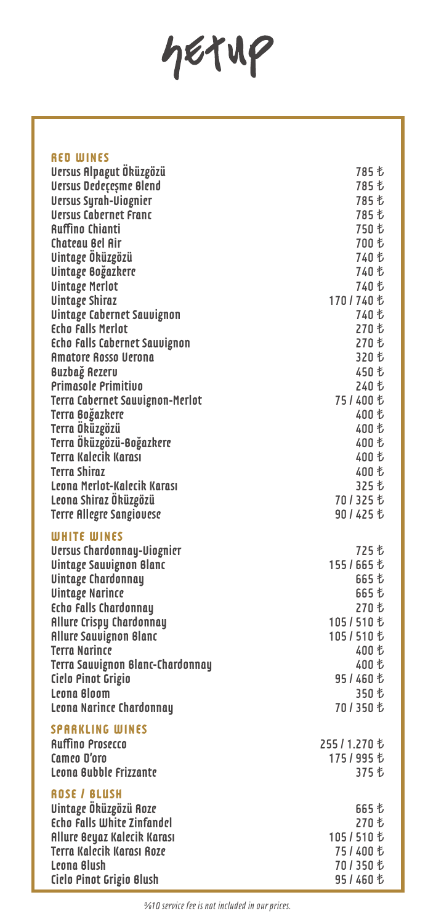hetup

| <b>RED WINES</b>                        |                        |
|-----------------------------------------|------------------------|
| Versus Alpagut Öküzgözü                 | 785 も                  |
| <b>Versus Dedeçeşme Blend</b>           | 785 も                  |
| <b>Uersus Syrah-Uiognier</b>            | 785 も                  |
| <b>Uersus Cabernet Franc</b>            | 785 も                  |
| <b>Auffino Chianti</b>                  | 750 も                  |
| <b>Chatcau Bel Air</b>                  | 700 も                  |
|                                         |                        |
| Uintage Öküzgözü                        | 740 も                  |
| Uintage Boğazkere                       | 740 も                  |
| <b>Uintage Merlot</b>                   | 740 も                  |
| <b>Uintage Shiraz</b>                   | 170/740 も              |
| <b>Uintage Cabernet Sauvignon</b>       | 740 も                  |
| <b>Echo Falls Merlot</b>                | 270 も                  |
| <b>Echo Falls Cabernet Sauvignon</b>    | 270 も                  |
| <b>Amatore Rosso Uerona</b>             | 320 も                  |
| <b>Buzbağ Rezerv</b>                    | 450 も                  |
| <b>Primasole Primitivo</b>              | 240 も                  |
| Terra Cabernet Sauvignon-Merlot         |                        |
| Terra Boğazkere                         | 400 も                  |
| Terra Öküzgözü                          | 400 も                  |
| Terra Öküzgözü-Boğazkere                | 400 も                  |
| <b>Terra Kalecik Karası</b>             | 400 も                  |
| <b>Terra Shiraz</b>                     |                        |
|                                         | 400 も                  |
| Leona Merlot-Kalecik Karası             | 325 も                  |
| Leona Shiraz Öküzgözü                   |                        |
| <b>Terre Allegre Sangiouese</b>         | 90 / 425 も             |
| <b>WHITE WINES</b>                      |                        |
| <b>Uersus Chardonnay-Uiognier</b>       | 725 も                  |
| <b>Uintage Sauvignon Blanc</b>          | 155 / 665 も            |
| <b>Uintage Chardonnay</b>               | 665 も                  |
|                                         | 665 も                  |
| <b>Uintage Narince</b>                  | 270 も                  |
| <b>Echo Falls Chardonnay</b>            |                        |
| <b>Allure Crispy Chardonnay</b>         | 105/510 も              |
| <b>Allure Sauvignon Blanc</b>           | 105/510 も              |
| <b>Terra Narince</b>                    | 400 も                  |
| <b>Terra Sauvignon Blanc-Chardonnay</b> | 400 も                  |
| Cielo Pinot Grigio                      | 95 / 460 も             |
| Leona Bloom                             | 350 も                  |
| <b>Leona Narince Chardonnay</b>         | 701350も                |
|                                         |                        |
| <b>SPARKLING WINES</b>                  |                        |
| <b>Auffino Prosecco</b>                 | 255/1.270 も            |
| Camco D'oro                             | 175/995 も              |
| Leona Bubble Frizzante                  | 375 も                  |
| <b>ROSE / BLUSH</b>                     |                        |
| Uintage Öküzgözü Roze                   | 665 も                  |
| Echo Falls White Zinfandel              | 270 も                  |
| Allure Beyaz Kalecik Karası             | 105/510 も              |
| <b>Terra Kalecik Karası Roze</b>        | 75/400 も               |
| Leona Blush                             |                        |
|                                         |                        |
| Cielo Pinot Grigio Blush                | 701350 も<br>95 / 460 も |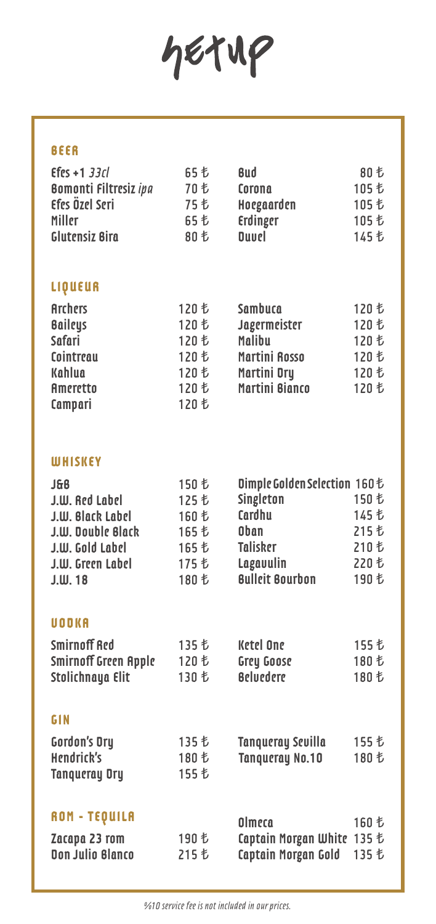hetup

### **BEER**

| $E$ fes +1 33 $cl$           | 65 七 | <b>Bud</b>   | 80 も  |
|------------------------------|------|--------------|-------|
| <b>Bomonti Filtresiz ipa</b> | 70 も | Corona       | 105 も |
| Efes Özel Seri               | 75 も | Hoegaarden   | 105 も |
| Miller                       | 65 七 | Erdinger     | 105 も |
| Glutensiz Bira               | 80 も | <b>Duvel</b> | 145 も |

## **LIQUEUR**

| Archers         | 120 も | Sambuca        | 120 も |
|-----------------|-------|----------------|-------|
| <b>Baileys</b>  | 120 も | Jagermeister   | 120 も |
| <b>Safari</b>   | 120 も | Malibu         | 120 も |
| Cointreau       | 120 も | Martini Rosso  | 120 も |
| Kahlua          | 120 も | Martini Dry    | 120 も |
| <b>Ameretto</b> | 120 も | Martini Bianco | 120 も |
| Campari         | 120 も |                |       |

#### **WHISKEY**

| J&B               | 150 も | Dimple Golden Selection 160も |       |
|-------------------|-------|------------------------------|-------|
| J.W. Red Label    | 125 も | Singleton                    | 150 も |
| J.W. Black Label  | 160 も | Cardhu                       | 145 も |
| J.W. Double Black | 165 も | Oban                         | 215 も |
| J.W. Gold Label   | 165 も | <b>Talisker</b>              | 210 も |
| J.W. Green Label  | 175 も | Lagavulin                    | 220 も |
| $J.W.$ 18         | 180 も | <b>Bulleit Bourbon</b>       | 190 も |
|                   |       |                              |       |

### **VODKA**

| Smirnoff Red                |       | Ketel One        | 155 も |
|-----------------------------|-------|------------------|-------|
| <b>Smirnoff Green Apple</b> |       | Grey Goose       | 180 も |
| Stolichnaya Elit            | 130 も | <b>Beluedere</b> | 180 も |

## **GIN**

| <b>Gordon's Dry</b><br>Hendrick's | 180 も | Tangueray Sevilla<br><b>Tangueray No.10</b> | 155 も<br>180 も |
|-----------------------------------|-------|---------------------------------------------|----------------|
| <b>Tangueray Dry</b>              | 155 も |                                             |                |
|                                   |       |                                             |                |

| <b>ROM - TEQUILA</b> |       | Olmeca                                   | 160 も |  |
|----------------------|-------|------------------------------------------|-------|--|
| Zacapa 23 rom        | 190 も | Captain Morgan White $135 \, \mathrm{t}$ |       |  |
| Don Julio Blanco     | 215 も | Captain Morgan Gold                      |       |  |